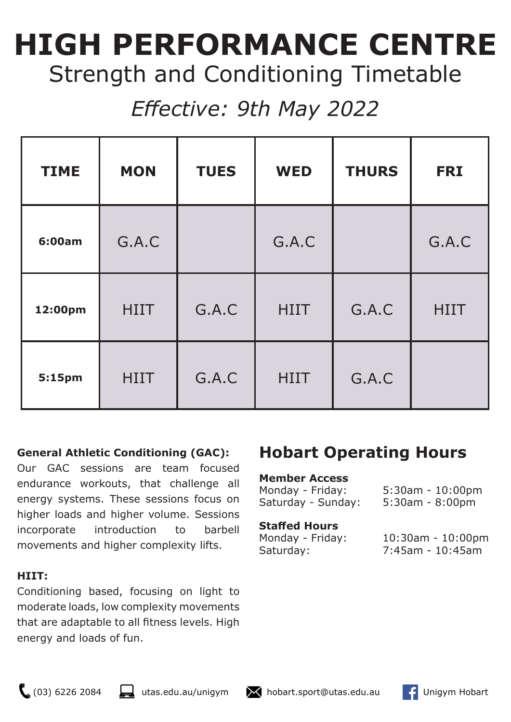# **HIGH PERFORMANCE CENTRE**  Strength and Conditioning Timetable

# *Effective: 9th May 2022*

| <b>TIME</b> | <b>MON</b>  | <b>TUES</b> | <b>WED</b>  | <b>THURS</b> | <b>FRI</b>  |
|-------------|-------------|-------------|-------------|--------------|-------------|
| 6:00am      | G.A.C       |             | G.A.C       |              | G.A.C       |
| 12:00pm     | <b>HIIT</b> | G.A.C       | <b>HIIT</b> | G.A.C        | <b>HIIT</b> |
| 5:15pm      | <b>HIIT</b> | G.A.C       | <b>HIIT</b> | G.A.C        |             |

## **General Athletic Conditioning (GAC):**

Our GAC sessions are team focused endurance workouts, that challenge all energy systems. These sessions focus on higher loads and higher volume. Sessions incorporate introduction to barbell movements and higher complexity lifts.

### **HIIT:**

Conditioning based, focusing on light to moderate loads, low complexity movements that are adaptable to all fitness levels. High energy and loads of fun.

# **Hobart Operating Hours**

### **Member Access**

| Monday - Friday:   | $5:30$ am - $10:00$ pm |
|--------------------|------------------------|
| Saturday - Sunday: | $5:30am - 8:00pm$      |

### **Staffed Hours**

Monday - Friday: 10:30am - 10:00pm Saturday: 7:45am - 10:45am